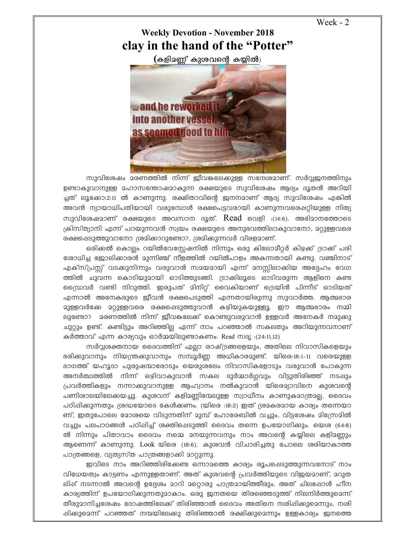Week - 2

## **Weekly Devotion - November 2018 clay in the hand of the "Potter"**

 $($ കളിമണ്ണ് കുശവന്റെ കയ്യിൽ)



സുവിശേഷം മരണത്തിൽ നിന്ന് ജീവങ്കലേക്കുള്ള സന്ദേശമാണ്. സർവ്വജനത്തിനും ഉണ്ടാകുവാനുള്ള മഹാസന്തോഷമാകുന്ന രക്ഷയുടെ സുവിശേഷം ആദ്യം ദൂതൻ അറിയി ച്ചത് ലൂക്കോ:2:11 ൽ കാണുന്നു. രക്ഷിതാവിന്റെ ജനനമാണ് ആദ്യ സുവിശേഷം എങ്കിൽ അവൻ ന്യായാധിപതിയായി വരുമ്പോൾ രക്ഷപെട്ടവരായി കാണുന്നവരെഷറ്റിയുള്ള നിത്യ സുവിശേഷമാണ് രക്ഷയുടെ അവസാന ദൂത്.  $Read$  വെളി :(14:6). അഭിമാനത്തോടെ (കിസ്ത്യാനി എന്ന് പറയുന്നവൻ സ്വയം രക്ഷയുടെ അനുഭവത്തിലാകുവാനോ, <u>മറ്റുള്ള</u>വരെ രക്ഷപ്പെടുത്തുവാനോ ശ്രമിക്കാറുണ്ടോ?, ശ്രമിക്കുന്നവർ വിരളമാണ്.

ഒരിക്കൽ കൊല്ലം റയിൽവേസ്റ്റേഷനിൽ നിന്നും ഒരു കിലോമീറ്റർ കിഴക്ക് ട്രാക്ക് പരി ്രോധിച്ച ജോലിക്കാരൻ മുന്നിഞ്ച് നീളത്തിൽ റയിൽപാളം അകന്നതായി കണ്ടു. വഞ്ചിനാട് എക്സ്പ്രസ്സ് വടക്കുനിന്നും വരുവാൻ സമയമായി എന്ന് മനസ്സിലാക്കിയ അദ്ദേഹം വേഗ ത്തിൽ ചുവന്ന കൊടിയുമായി ഓടിത്തുടങ്ങി. ട്രാക്കിലൂടെ ഓടിവരുന്ന ആളിനെ കണ്ട ്രൈവർ വണ്ടി നിറുത്തി. ഇരുപത് മിനിറ്റ് വൈകിയാണ് ട്രെയിൻ പിന്നീട് ഓടിയത് എന്നാൽ അനേകരുടെ ജീവൻ രക്ഷപെടുത്തി എന്നതായിരുന്നു സുവാർത്ത. ആത്മഭാര ദുള്ളവർക്കേ ദറ്റുള്ളവരെ രക്ഷപ്പെടുത്തുവാൻ കഴിയുകയുള്ളൂ. ഈ ആത്മഭാരം നമ്മി ലുണ്ടോ? മരണത്തിൽ നിന്ന് ജീവകലേക്ക് കൊണ്ടുവരുവാൻ ഉള്ളവർ അനേകർ നമുക്കു ചുറ്റും ഉണ്ട്. കണ്ടിട്ടും അറിഞ്ഞില്ല എന്ന് നാം പറഞ്ഞാൽ സകലതും അറിയുന്നവനാണ് കർത്താവ് എന്ന കാര്യവും ഓർമ്മയിലുണ്ടാകണം. Read സഭൂ :(24:11,12)

സർവ്വശക്തനായ ദൈവത്തിന് എല്ലാ രാഷ്ട്രങ്ങളെയും, അതിലെ നിവാസികളെയും ഭരിക്കുവാനും നിയന്ത്രകുവാനും സമ്പൂർണ്ണ അധികാരമുണ്ട്. യിരെ:18:1-11 വരെയുള്ള ഭാഗത്ത് യഹൂദാ പുരുഷന്മാരോടും യെരുശലേം നിവാസികളോടും വരുവാൻ പോകുന്ന അനർത്ഥത്തിൽ നിന്ന് ഒഴിവാകുവാൻ സകല ദുർമ്മാർഗ്ഗവും വിട്ടുതിരിഞ്ഞ് നടപ്പും പ്രവർത്തികളും നന്നാക്കുവാനുള്ള ആഹ്വാനം നൽകുവാൻ യിരെ**ച്ചാവിനെ കുശവന്റെ** പണിശാലയിലേക്കയച്ചു. കുശവന് കളിമണ്ണിന്മേലുള്ള സ്വാധീനം കാണുകമാത്രമല്ല, ദൈവം പഠിഷിക്കുന്നതും ശ്രദ്ധയോടെ കേൾക്കണം. (യിരെ :18:2) ഇത് ശ്രമകരമായ കാര്യം തന്നെയാ ണ്, ഇതുപോലെ മോശയെ വിടുന്നതിന് മുമ്പ് ഹോരേബിൽ വച്ചും, വിട്ടശേഷം മിസ്രേമിൽ വച്ചും പലപാഠങ്ങൾ പഠിപ്പിച്ച് ശക്തിപ്പെടുത്തി ദൈവം തന്നെ ഉപയോഗിക്കും. യെശ (64:8)  $\varpi$  നിന്നും പിതാവാം ദൈവം നമ്മെ മനയുന്നവനും നാം അവന്റെ കയ്യിലെ കളിമണ്ണും ആണെന്ന് കാണുന്നു. Look യിരെ (18:6). കുശവൻ വിചാരിച്ചതു പോലെ ശരിയാകാത്ത പാത്രങ്ങളെ, വ്യത്യസ്ത പാത്രങ്ങളാക്കി മാറ്റുന്നു.

ഇവിടെ നാം അറിഞ്ഞിരിക്കേണ്ട ഒന്നാമത്തെ കാര്യം രൂപപ്പെടുത്തുന്നവനോട് നാം വിധേയത്വം കാട്ടണം എന്നുള്ളതാണ്. അത് കുശവന്റെ പ്രവർത്തിയുടെ വിജയമാണ്, മറുത ലിഷ് നടന്നാൽ അവന്റെ ഉദ്ദേശം മാറി മറ്റൊരു പാത്രമായിത്തീരും. അത് ചിലപ്പോൾ ഹീന കാര്യത്തിന് ഉപയോഗിക്കുന്നതുമാകാം. ഒരു ജനതയെ തിരഞ്ഞെടുത്ത് നിലനിർത്തുമെന്ന് തീരുദാനിച്ചശേഷം ദോഷത്തിലേക്ക് തിരിഞ്ഞാൽ ദൈവം അതിനെ നശിഷിക്കുമെന്നും, നശി ഷിക്കുമെന്ന് പറഞ്ഞത് നന്മയിലേക്കു തിരിഞ്ഞാൽ രക്ഷിക്കുമെന്നും ഉള്ളകാര്യം ജനത്തെ